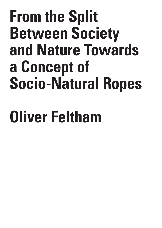## **From the Split Between Society and Nature Towards a Concept of Socio-Natural Ropes**

# **Oliver Feltham**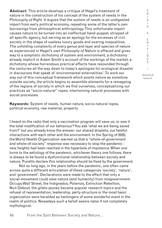**Abstract:** This article develops a critique of Hegel's treatment of nature in the construction of his concept of the system of needs in the *Philosophy of Right*. It argues that the system of needs is an undigested import from early political economy, repeating some of the latter's own borrowings from philosophical anthropology. This unfortunate import causes nature to be turned into an ineffectual hand-puppet, stripped of all specific agency, but serving as an apology for the excesses of civil society in the shape of useless luxury goods and soaring inequalities. The unfolding complexity of every genus and layer and species of nature as experienced in Hegel's own *Philosophy of Nature* is effaced and gives way to a simplistic dichotomy of system and environment, a dichotomy already implicit in Adam Smith's account of the workings of the market, a dichotomy whose horrendous practical effects have resounded through the centuries all the way down to today's apologies for ecological disaster in discourses that speak of 'environmental externalities'. To work our way out of this conceptual framework which posits nature as somehow outside society, the article begins to assemble elements for a remapping of the regions of society in which we find ourselves, conceptualizing our practices as "socio-natural" ropes, intertwining natural processes with social processes.

**Keywords:** System of needs, human nature, socio-natural ropes, political economy, raw material, property

I heard on the radio that only a vaccination program will save us; or was it the total modification of our behaviour? You ask 'what we are being saved from?' but you already know the answer: our shared droplets, our fateful interactions with each other and the environment. In the Spring of 2020, the World Health Organization warned us that a "whole-of-government and whole-of-society" response was necessary to stop the pandemic new heights had been reached in the hyperbole of impotence. When one turns to the aetiology of the pandemic, whichever theory one follows, there is always to be found a dysfunctional relationship between society and nature. Pundits declare this relationship should be fixed by the government.

Not so long ago, in the years before the pandemic, one often came across quite a different articulation of these categories 'society', 'nature', and 'government'. Declarations were made to the effect that only a social-movement could save nature (and humanity) from misgovernment. Occupy Wall Street, the Indignados, Polemos, Extinction Rebellion, Nuit Debout, the gilets-jaunes became popular research topics and the refusal of representation, leadership, party-structure or the most basic organization were heralded as harbingers of some wonderful event in the realm of politics. Nowadays such a belief seems naïve if not completely mythological.

69 From the Split Between Society and Nature...

I S & C R I T I Q U E / Volume 8

Issue 2

C R I S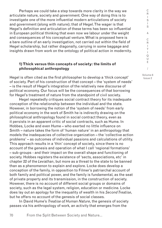Perhaps we could take a step towards more clarity in the way we articulate nature, society and government. One way of doing this is to investigate one of the more influential modern articulations of society and government (along with nature); that of Hegel. The wager is that Hegel's definition and articulation of these terms has been so influential in European political thinking that even now we labour under the weight and consequences of his conceptual venture. What is proposed here is a bare outline of an early investigation, not carried out within the field of Hegel scholarship, but rather diagonally, carrying in some baggage and insights drawn from work on the ontology of political action in modernity.

#### **1) Thick versus thin concepts of society: the limits of philosophical anthropology**

Hegel is often cited as the first philosopher to develop a 'thick concept' of society. Part of his construction of that concept – the 'system of needs' – is the result of Hegel's integration of the relatively new discourse of political economy. Our focus will be the consequences of that borrowing for Hegel's treatment of nature from the standpoint of civil society.

Hegel repeatedly critiques social contract theory for its inadequate conception of the relationship between the individual and the state. However, in borrowing the notion of the 'system of needs' from early political economy in the work of Smith he is indirectly drawing on the philosophical anthropology found in social contract theory, even as it persists in an apparent critic of social contracts, such as Hume. In Hobbes, Locke and even Hume – who exerted no little influence on Smith – nature takes the form of 'human nature' in an anthropology that models the inadequacies of collective organization – the 'collective action problems' – as outcomes of individual passions and calculations of utility. This approach results in a 'thin' concept of society, since there is no account of the genesis and operation of what I call 'regional formations' – sub-groups - and their impact on the overall shape and functioning of society. Hobbes registers the existence of 'sects, associations, etc' in chapter 22 of the *Leviathan*, but more as a threat to the state to be banned than as a phenomenon to explain and explore. Locke does develop a conception of the family, in opposition to Filmer's patriarchal account of both family and political power, and the family is fundamental, as the seat of private property and its transmission, in the construction of society. However, there is no account of different social groups or domains of society, such as the legal system, religion, education or medicine. Locke does lay out an apology for the inequality of wealth in his *Second Treatise*, but he offers no account of the genesis of social classes.

In David Hume's *Treatise of Human Nature*, the genesis of society passes via his anthropology of work, an activity that emerges from the

70

I Q U E / Volume 8

Issue 2

C R I S I S & C R I T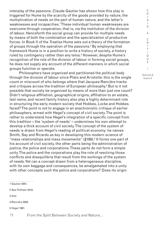interplay of the passions. Claude Gautier has shown how this play is triggered for Hume by the scarcity of the goods provided by nature, the multiplication of needs on the part of human nature, and the latter's weaknesses and incapacities.1 These individual human weaknesses are overcome through cooperation, that is, via the institution of the division of labour. Henceforth the social group can provide for multiple needs by means of both the combination and the specialization of productive forces. In Book II of the *Treatise* Hume sets out a theory of the formation of groups through the operation of the passions.2 By employing that framework Hume is in a position to write a history of society, a history ruled by contingency rather than any telos.<sup>3</sup> However, despite Hume's recognition of the role of the division of labour in forming social groups, he does not supply any account of the different manners in which social groups function or operate.

Philosophers have organized and partitioned the political body through the division of labour since Plato and Aristotle: this is the single count or miscount of who belongs where that Jacques Rancière tracks and critiques across the tradition of European philosophy.4 But is it not possible that society be organized by means of more than just one count? Didn't religious affiliation, geographical origins, affiliation to an estate, last name, and recent family history also play a highly determinant role in structuring the early modern society that Hobbes, Locke and Hobbes faced? The point is not to engage in an anachronistic critique of earlier philosophers, armed with Hegel's concept of civil society. The point is rather to understand how Hegel's integration of a specific concept from this tradition – the 'system of needs' – undermines his own attempt to develop a thick account of civil society. The concept of the system of needs is drawn from Hegel's reading of political economy: he names Smith, Say and Ricardo as key in developing this modern science of "mass relationships and mass movements" (§189).<sup>5</sup> It forms one part of his account of civil society, the other parts being the administration of justice, the police and corporations. These parts do not form a simple unity. The police and the corporations play the role of resolving those conflicts and disequilibria that result from the workings of the system of needs. Yet can a concept drawn from a heterogeneous discipline, with its own baggage and consequences, be amalgamated into a unity with other concepts such the police and corporations? Does its origin

1 Gautier 2001.

2 See Feltham 2019.

3 Ibid.

4 Rancière 2003.

5 Hegel 1991.

71 From the Split Between Society and Nature...

I S & C R I T I Q U E / Volume 8

Issue 2

C R I S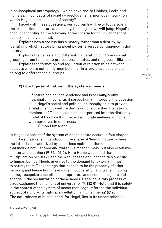in philosophical anthropology – which gave rise to Hobbes, Locke and Hume's *thin* concepts of society – preclude its harmonious integration within Hegel's thick concept of society?

Faced with these questions, our approach will be to focus solely the articulation of nature and society. In doing so, we will judge Hegel's account according to the following three criteria for a thick concept of society – namely one that:

Explains how a society has a history rather than a destiny, by identifying which factors bring about patterns versus contingency in that history;

Explains the genesis and differential operation of various social groupings from families to professions, estates, and religious affiliations;

Explains the formation and regulation of relationships between subjects who are not family-members, nor in a lord-slave couple, but belong to different social groups.

Volume 8 Issue 2

C R I S I S & C R I T I Q U E /

#### **2) Four figures of nature in the system of needs**

"If nature has no independence and is seemingly only meaningful in so far as it serves human interests, the question is: is Hegel's social and political philosophy able to provide a relationship to nature that is not one of either alienation or domination? That is, can it be incorporated into the distinctive model of freedom that the text articulates—being at home with ourselves in otherness."

Simon Lumsden.<sup>6</sup>

In Hegel's account of the system of needs nature occurs in four shapes.

First nature is understood in the shape of 'human nature', wherein the latter is characterized by a limitless multiplication of needs; needs that include not just food and water like most animals, but also extensive shelter and clothing (§§185, 191-2). Here Hume would add that this multiplication occurs due to the weaknesses and incapacities specific to human beings. Needs give rise to the demand for external things to satisfy them. These things that happen to be the property of other persons, and hence humans engage in cooperation and trade. In doing so they recognize each other as proprietors and economic agents and engage in the socialization of these needs. Hegel calls this process of trade exchange the moment of universality (§§182-6). Note that it is solely in the context of the system of needs that Hegel refers to the individual subject of right by its natural appellation, a 'human being' (§190). The naturalness of human need, for Hegel, lies in its uncontrollable

6 Lumsden 2021, p.101.

From the Split Between Society and Nature...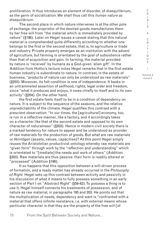proliferation. It thus introduces an element of disorder, of disequilibrium, as the germ of socialization. We shall thus call this *human nature as disequilibrium*.

The second place in which nature intervenes is at the other pole of exchange: the proprietor of the desired goods manufactures them by her free will from "the material which is immediately provided by nature" (§196). Later on Hegel issues a caveat stating that this natural material is comprehended quite differently according to whether one belongs to the first or the second estate, that is, to agriculture or trade and industry. Private property emerges as an institution with the advent of agriculture, but farming is orientated by the goal of subsistence rather than that of acquisition and gain. In farming, the material provided by nature is 'received' by humans as a God-given 'alien gift'. In the Addition from Hotho's lecture notes Hegel remarks that in the first estate human industry is subordinate to nature. In contrast, in the estate of business, "products of nature can only be understood as raw materials" (§203). Moreover, its felt condition is one of independence. It basks in an untrammeled assertion of selfhood, rights, legal order and freedom, since "what it produces and enjoys, it owes chiefly to itself and to its own activity" (§204). On the other hand,

the first estate feels itself to be in a condition of dependency on nature. It is subject to the sequence of the seasons, and the relative unpredictability of the climate. Hegel qualifies this contrast with a prescient observation: "In our times, the [agricultural] economy, too, is run in a reflective manner, like a factory, and it accordingly takes on a character like that of the second estate and opposed to its own character of naturalness" (§203). Hence in modern civil society there is a marked tendency for nature to appear and be understood as provider of raw materials for the production of goods. But what are raw materials or *Vermögen* (assets, values, capacities)? At this point Hegel simply reuses the Aristotelian productivist ontology whereby raw materials are "given form" through work by the "reflection and understanding" which is orientated to "[mediate] the needs and work of others" (Addition §203). Raw materials are thus passive: their form is readily altered or "processed" (Addition §196).

It so happens that this opposition between a will-driven process of formation, and a ready matter has already occurred in the *Philosophy of Right.* Hegel sets up this contrast between activity and passivity in his discussion of what it means to fully possess something in an early section of Part I on "Abstract Right" (§59-62). To possess a thing is to use it. Hegel himself connects his treatments of possession, and of nature as raw material, in paragraphs 195 and 203. He points out that the multiplication of needs, dependency and want is "confronted with a material that offers infinite resistance, i.e. with external means whose particular character is that they are the property of the free will [of

73 From the Split Between Society and Nature... Issue 2

C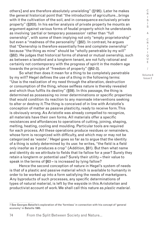others] and are therefore absolutely unwielding" (§195). Later he makes the general historical point that "the introduction of agriculture…brings with it the cultivation of the soil, and in consequence exclusively private property" (§203). In his earlier analysis of private property he mounts an argument against various forms of feudal property which he understands as involving 'partial or temporary possession' rather than "full ownership", with some of them implying not only "empty proprietorship" but even a "madness of the personality" (§62). In contrast, he argues that "Ownership is therefore essentially free and complete ownership" because "the thing as mine" should be "wholly penetrable by my will" (§62). He judges that historical forms of shared or mutual ownership, such as between a landlord and a longterm tenant, are not fully rational and certainly not contemporary with the progress of spirit in the modern age towards the principle of "freedom of property" (§62-3).

So what then does it mean for a thing to be completely penetrable by my will? Hegel defines the use of a thing in the following terms: "Use is the realization of my need through the alteration, destruction or consumption of the thing, whose selfless nature is thereby revealed and which thus fulfils its destiny" (§59). In this passage, the thing is determined as possessing no inner determinations or specific properties that would condition its reaction to any manmade interventions seeking to alter or destroy it. The thing is conceived of in line with Aristotle's conception of matter as passive plasticity, ready to receive form. This is obviously wrong. As Aristotle was already compelled to recognize, all materials have their own forms. All materials offer a specific resistances and affordances to operations of cutting, joining, shaping, melting, heating, cooling and moulding. Particular tools are required for each process. All these operations produce residues or remainders, whose form is recognized with difficulty, and which may or may not be categorized as 'waste'.7 Hegel goes so far as to argue that the identity of a thing is solely determined by its use: he writes, "the field is a field only insofar as it produces a crop" (Addition, §61). But then what name and identity do we attribute to fields that lie fallow for a year? Surely they retain a longterm or potential use? Surely their utility – their value to speak in the terms of §63 – is increased by lying fallow?

Hence the second conception of nature in Hegel's system of needs is that of a plastic and passive material which is available to humanity in order to be worked up into a form satisfying the needs of marketgoers. Any byproducts of such processes, any specific determinations of types of natural material, is left by the wayside in this Aristotelian and productivist account of work. We shall call this nature as *plastic material*.

From the Split Between Society and Nature...

R  $\mathbf{I}$ S I S & C R I T I Q U E / Volume 8 Issue 2

C

<sup>7</sup> See Georges Bataille's exploration of the 'formless' in connection with his concept of 'general economy' in Bataille 1985.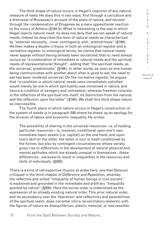The third shape of nature occurs in Hegel's rejection of any natural measure of need. He does this in two ways; first through a caricature and a dismissal of Rousseau's account of the state of nature, and second through the condemnation of Diogenes as a mere oppositional reaction to the luxury of Athens (§194-5). What is interesting is the way in which Hegel rejects natural need: he does not deny that we can speak of natural needs. Indeed he describes the level of natural needs as characterized by "external necessity…inner contingency, and…arbitrariness" (§194). He then makes a double critique, in both an ontological register and a normative register. In ontological terms, he claims that natural needs never appear without having already been socialized; that is, need always occurs as "a combination of immediate or natural needs and the spiritual needs of representational thought", adding that "the spiritual needs, as the universal, predominate" (§194). In other words, as soon as one human being communicates with another about what is good to eat, the need to eat has been rendered universal. On the normative register, he argues that "a condition in which natural needs were immediately satisfied would merely be one in which spirituality was immersed in nature, and hence a condition of savagery and unfreedom; whereas freedom consists in the reflection of the spiritual into itself, its distinction from the natural, and the reflection upon the latter" (§194). We shall this third shape nature as inaccessible.

The fourth place in which nature occurs in Hegel's construction of the system of needs is in paragraph 200 where he draws up an apology for the division of labour and economic inequality. He writes:

The possibility of sharing in the universal resources- i.e. of holding particular resources – is, however, conditional upon one's own immediate basic assets (i.e. capital) on the one hand, and upon one's skill on the other; the latter in turn is itself conditioned by the former, but also by contingent circumstances whose variety gives rise to *differences* in the *development* of natural physical and mental aptitudes which are already unequal in themselves…these differences…necessarily result in *inequalities in the resources and skills* of individuals. (§200)

There is a kind of retrospective illusion at stake here, one that Deleuze critiqued in the third chapter of *Difference and Repetition*, whereby the reflective and willed "inequality of human beings in civil society" is explained and grounded in the immediate and arbitrary "inequality posited by nature" (§200). Here the social order is understood as the expression of an already existing natural order. This prior natural order, and its ascendancy over the 'liberation' and reflectivity and possibilities of the spiritual realm, does not enter into a reconciliatory dialectic with the figures of nature as disequilibrium, plastic material, or inaccessible.

75 From the Split Between Society and Nature...

S I S & C R I T I Q U E / Volume 8

Issue 2

C R  $\mathbf{I}$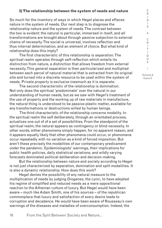#### **3) The relationship between the system of needs and nature**

So much for the inventory of ways in which Hegel places and effaces nature in the system of needs. Our next step is to diagnose the relationship nature and the system of needs. The contrast between the two is evident: the natural is particular, immersed in itself, and all transformations are brought about through passive subjection to external chains of necessity. The social is universal, involves reflection and thus internal determination, and an element of choice. But what kind of relationship does this imply?

The first characteristic of this relationship is separation. The spiritual realm operates through self-reflection which entails its distinction from nature, a distinction that allows freedom from external necessity. This general separation is then particularized and multiplied between each parcel of natural material that is extracted from its original site and turned into a discrete resource to be used within the system of needs. Private property is exclusive inasmuch as it is separate.

The second characteristic of the relationship is domination. Not only does the spiritual 'predominate' over the natural in our understanding of human needs, but as we saw with Hegel's treatment of the use of property and the working up of raw materials in manufacture, the natural thing is understood to be passive plastic matter, available for any transformations or destructions willed by human beings.

 The third characteristic of the relationship concerns modality. In the spiritual realm the self deliberately, through an orientated process, actualizes one out of of a set of possibilities. From the standpoint of the spiritual realm, the natural appears as contingency or blind necessity. In other words, either phenomena simply happen, for no apparent reason, and it appears equally likely that other phenomena could occur, or phenomena occur repeatedly with no variation as a kind of forced imposition. But aren't these precisely the modalities of our contemporary predicament under the pandemic. Epidemiologists' warnings, their implications for public health policies, daily statistical variations, and wildly varying forecasts dominated political deliberation and decision-making.

But the relationship between nature and society according to Hegel is not just characterized by separation, domination and split modalities. It is also a dynamic relationship. How does this work?

Hegel denies the possibility of any natural measure to the multiplication of needs by judging Diogenes, the cynic, to have adopted his regime of simplified and reduced needs as a mere oppositional reaction to the Athenian culture of luxury. But Hegel would have been aware – much like Adam Smith, one of his sources – of the republican commonplace that luxury and satisfaction of every desire leads to corruption and decadence. He would have been aware of Rousseau's own warnings of the diseases and maladies of overconsumption. Indeed, the

76 From the Split Between Society and Nature...

S & C R I T I Q U E / Volume 8 Issue 2

C R I S I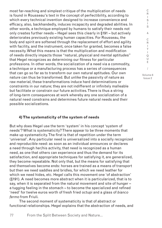most far-reaching and simplest critique of the multiplication of needs is found in Rousseau's text in the concept of perfectibility, according to which every technical invention designed to increase convenience and efficacy, also, backhandedly, induces incapacity and degraded abilities. In other words, a technique employed by humans to satisfy their needs not only creates further needs – Hegel sees this clearly in §191 – but actively deteriorates previously existing human capacities. For Rousseau, the body and spirit are softened through the replacement of effort and agility with facility, and the instrument, once taken for granted, becomes a false necessity. What this means is that the multiplication and modification of needs directly impacts those "natural, physical and mental aptitudes" that Hegel recognizes as determining our fitness for particular professions. In other words, the socialization of a need via a commodity, a technique or a manufacturing process has a series of consequences that can go so far as to transform our own natural aptitudes. Our own nature can thus be transformed. But unlike the passivity of nature as raw material, these transformations induce hard determinations or constraints in our nature; they are not indifferent or infinitely malleable but facilitate or constrain our future activities. There is thus a string of long-term consequences at work whereby any one socialization of a natural need constrains and determines future natural needs and their possible socializations.

#### **4) The systematicity of the system of needs**

But why does Hegel use the term 'system' in his concept 'system of needs'? What is systematicity? There appear to be three moments that make up systematicity. The first is that of repetition under the term 'universal'. Any particular need is universalized into a socially recognized and reproducible need: as soon as an individual announces or declares a need through her/his activity, that need is recognized as a human need, as one that others can experience and thus the demand for its satisfaction, and appropriate techniques for satisfying it, are generalized, they become repeatable. Not only that, but the means for satisfying that end themselves become ends: horses are trained as a means of transport but then we need saddles and bridles, for which we need leather for which we need hides, etc. Hegel calls this movement one 'of abstraction' (§191). A need becomes more abstract when it is particularized, that is to say, when it is separated from the natural movement and site of hunger – a tugging feeling in the stomach – to become the specialized and refined 'need' for twelve euros worth of fresh fried octupi and a glass of *bianco fermo* from Friuli.

The second moment of systematicity is that of abstract or functional relationships. Hegel explains that the abstraction of needs, and

R I S I S & C R I T I Q U E / Volume 8 Issue 2

C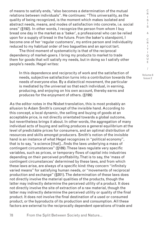of means to satisfy ends, "also becomes a determination of the mutual relations between individuals". He continues: "This universality, as the quality of being recognized, is the moment which makes isolated and abstract needs, means, and modes of satisfaction into concrete, i.e. social ones" (§192). In other words, I recognize the person from whom I buy bread one day in the market as a 'baker', a professional who can be relied upon for a supply of bread in the future. From the baker's standpoint, I become one of her 'regular customers', my entire person and individuality reduced to my habitual order of two baguettes and an apricot tart.

The third moment of systematicity is that of the reciprocal dependency of market-goers. I bring my products to market to trade them for goods that will satisfy my needs, but in doing so I satisfy other people's needs. Hegel writes:

In this dependence and reciprocity of work and the satisfaction of needs, subjective satisfaction turns into a contribution towards the needs of everyone else. By a dialectical movement, the particular is mediated by the universal so that each individual, in earning, producing, and enjoying on his own account, thereby earns and produces for the enjoyment of others. (§199)

As the editor notes in the Nisbet translation, this is most probably an allusion to Adam Smith's concept of the invisible hand. According to this concept, a local dynamic, the selling and buying of goods at an acceptable price, is not directly orientated towards a global outcome, but nevertheless brings it about. In other words, the aggregation of many individual acts of buying and selling produces a general equilibrium at the level of predictable prices for consumers, and an optimal distribution of resources and skills amongst producers. Smith's notion of the invisible hand is an instance of what Hegel recognizes in "political economy", that is to say, "a science [that]…finds the laws underlying a mass of contingent circumstances" (§189). These laws regulate very specific variables, such as prices, or temporary flows of capital into industries depending on their perceived profitability. That is to say, the 'mass of contingent circumstances' determined by these laws, and from which these laws arise, are always of a specific kind: they concern "infinitely varied means" for satisfying human needs, or "movements of reciprocal production and exchange" (§201). The determination of these laws does not directly involve the material qualities of the products, though the latter may indirectly determine the perceived utility of a product. It does not directly involve the site of extraction of a raw material, though the latter may indirectly determine the perceived utility or quality of the final product. It does not involve the final destination of a used or consumed product, or the byproducts of its production and consumption. All these factors are external to the reciprocally dependent operations of trade and

U E / Volume 8

C R  $\mathbf{I}$ S I S & C R I T I Q

Issue 2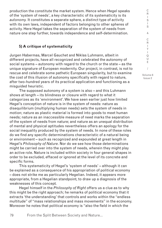production the constitute the market system. Hence when Hegel speaks of the 'system of needs', a key characteristic of its systematicity is its *autonomy.* It constitutes a separate sphere, a distinct type of activity with its own laws, independent of factors belonging to other spheres of activity. Here Hegel takes the separation of the system of needs from nature one step further, towards independence and self-determination.

#### **5) A critique of systematicity**

Jurgen Habermas, Marcel Gauchet and Niklas Luhmann, albeit in different projects, have all recognized and celebrated the autonomy of social systems – autonomy with regard to the church or the state – as the unique signature of European modernity. Our project, in contrast, is not to rescue and celebrate some pathetic European singularity, but to examine the cost of this illusion of autonomy specifically with regard to nature, after two-hundred years of its practical application and functioning as a misguided heuristic.

The supposed autonomy of a system is also – and this Luhmann shows at length – its blindness or closure with regard to what it categorizes as its 'environment'. We have seen earlier just how limited Hegel's conception of nature is in the system of needs: nature as disequilibrium (multiplying human needs) sets the system of needs in motion; nature as plastic material is formed into goods to meet human needs; nature as an inaccessible measure of need marks the separation of the system of needs from nature; and nature as an unequal distribution of mental and physical aptitudes nevertheless offers an apology for the social inequality produced by the system of needs. In none of these roles do we find any specific determinations characteristic of a natural being or environment – such as recognized and expounded at great length in Hegel's *Philosophy of Nature*. Nor do we see how those determinations might be carried over into the system of needs, wherein they might play an active role. Nature is included within society in four general shapes in order to be excluded, effaced or ignored at the level of its concrete and specific forms.

This systematicity of Hegel's 'system of needs' – although it can be explained as a consequence of his appropriation of political economy – does not strike me as particularly Hegelian. Indeed, it appears more appropriate, from a Hegelian standpoint, to draw up a diagnosis of the weaknesses of this concept.

Hegel himself in the *Philosophy of Right* offers us a clue as to why this might be the right approach; he remarks of political economy that it extracts 'the understanding' that controls and works within the "endless multitude" of "mass relationships and mass movements" in the economy. Moreover he notes that political economy is "also the field in which the

I Q U E / Volume 8 Issue 2

C R  $\mathbf{I}$ S I S & C R I T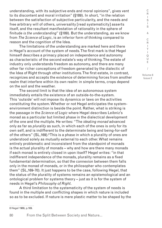understanding, with its subjective ends and moral opinions", gives vent to its discontent and moral irritation" (§189). In short, "in the relation between the satisfaction of subjective particularity, and the needs and free arbitrary will of others, universality [read systematicity] asserts itself, and the resultant manifestation of rationality in the sphere of finitude *is the understanding*" (§189). But the understanding, as we know from *The Science of Logic*, is an inferior form of thinking compared to reason and the cognition of the Idea.

The limitations of the understanding are marked here and there in Hegel's account of the system of needs. The first mark is that Hegel himself describes a primacy placed on independence and autonomy as characteristic of the second estate's way of thinking. The estate of industry only understands freedom as autonomy, and there are many other far richer conceptions of freedom generated by the dialectic of the Idea of Right through other institutions. The first estate, in contrast, recognizes and accepts the existence of determining forces from another realm that interfere within its own realm: in simple terms, crops depend on the soil and the weather.

The second limit is that the idea of an autonomous system immediately entails the existence of an outside-to-the-system. This 'outside' will not impose its dynamics or laws on the activities constituting the system. Whether or not Hegel anticipates the systemenvironment distinction is beside the point. Rather, what is striking is the passage in the *Science of Logic* where Hegel describes Leibniz's monad as a particular but limited phase in the dialectical development of the one and the multiple. He writes: "The *ideating monad* advanced only as far as *plurality* as such, in which each of the ones is only for its own self, and is indifferent to the determinate being and being-for-self of the others" (SL,169).<sup>8</sup>This is a phase in which a plurality of ones are understood solely as mutually external to each other. What remains entirely problematic and inconsistent from the standpoint of monads is the actual plurality of monads – why and how are there many monads if each monad is entirely closed in upon itself? Hegel writes: "in that indifferent independence of the monads, plurality remains as a fixed fundamental determination, so that the connexion between them falls only in the monad of monads, or in the philosopher who contemplates them" (SL,169-70). It just happens to be the case, following Hegel, that the status of the plurality of systems remains an epistemological and an ontological problem for systems theory – just as it is for the system of needs in Hegel's *Philosophy of Right*.

A third limitation to the systematicity of the system of needs is found in the multiple and conflicting shapes in which nature is included so as to be excluded. If nature is mere plastic matter to be shaped by the

8 Hegel 1969, p.169.

80

From the Split Between Society and Nature...

& C R I T I Q U E / Volume 8

Issue 2

C R I S I S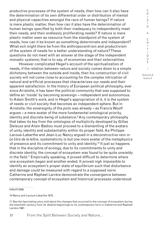productive processes of the system of needs, then how can it also have the determination of its own differential order or distribution of mental and physical capacities amongst the race of human beings? If nature is mere plastic matter, then how can it also have the determination of human beings specified by both their inadequacy to independently meet their needs, and their endlessly proliferating needs? If nature is mere plastic matter seen as resource from the standpoint of the system of needs, how can it be known as something determinate and independent? What exit might there be from the anthropocentrism and productivism of the system of needs for a better understanding of nature? These questions do not meet with an answer at the stage of the independent monadic systems; that is to say, of economies and their externalities.

However complicated Hegel's account of the spiritualization of needs, if the relation between nature and society comes down to a simple dichotomy between the outside and inside, then his construction of civil society will not come close to accounting for the complex intrication of natural and artificial processes that characterizes our needs and their apparent satisfaction. In the history of European political philosophy, ever since Aristotle, it has been the political community that was supposed to define an 'inside' by becoming sovereign – independent and autonomous. In Adam Smith's work, and in Hegel's appropriation of it, it is the system of needs or civil society that becomes an independent sphere. But in Aristotle, the sovereignty of the *polis* was already – as Francis Woolf argues – a mere avatar of the more fundamental ontological priority, identity and discrete being of substance.9 Any contemporary philosophy that takes its key from the ontologies of multiplicity developed by Gilles Deleuze and Alain Badiou must proceed to a dismantling of the avatars of unity, identity and substantiality within its proper field. As Philippe Lacoue-Labarthe and Jean-Luc Nancy argued in a deconstructive vein in *Le titre de la lettre*, systematicity is but one more avatar of the metaphysics of presence and its commitment to unity and identity.<sup>10</sup> It just so happens that in the discipline of ecology, due to its commitments to unity and discrete identity, the concept of ecosystem was found to be quite unwieldy in the field.11 Empirically speaking, it proved difficult to determine where one ecosystem began and another ended. It proved nigh impossible to identify an ecosystem's proper state of equilibrium such that disturbance and damage could be measured with regard to a supposed norm. Catherine and Raphael Larrère demonstrate the convergence between contemporary concept of ecosystem and historical processes understood

9 Wolff 2008.

10 Nancy and Lacoue-Labarthe 1975.

81 From the Split Between Society and Nature...

I S I S & C R I T I Q U E / Volume 8

Issue 2

C R

<sup>11</sup> See the fascinating story told about the changes that occurred to the concept of ecosystem during the twentieth century, from its idealist beginnings to its contemporary form in Catherine and Raphael Larrère 1997.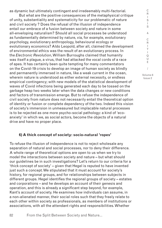as dynamic but ultimately contingent and irredeemably multi-factorial.

But what are the positive consequences of the metaphysical critique of unity, substantiality and systematicity for our problematic of nature and civil society ? Does the refusal of the illusion of independence entail our embrace of a fusion between society and nature in some all-enveloping naturalism? Should all social processes be understood as fundamentally determined by nature, via, for example, evolutionary psychology, evolutionary anthropology, behavioural ecology or evolutionary economics? Aldo Leopold, after all, claimed the development of environmental ethics was the result of an evolutionary process. In the *Electronic Revolution*, William Burroughs claimed that humanity was itself a plague, a virus, that had attacked the vocal cords of a race of apes. It has certainly been quite tempting for many commentators on the Covid-19 crisis to develop an image of human society as blindly and permanently immersed in nature, like a weak current in the ocean, wherein nature is understood as either external necessity, or endless empirical contingency; with new models of the statistical development of waves of Covid infections being generated each day to be tossed on the garbage heap two weeks later when the data changes or new conditions and factors of transmission emerge. But to refuse the independence of civil society from nature does not necessarily entail the theoretical option of identity or fusion or complete dependency of the two. Indeed this vision of society's immersion in unmeasured but implacable natural processes is to be rejected as one more psycho-social pathology: a kind of 'ecoanxiety' in which we, as social actors, become the objects of a natural drive and have no proper place.

### **6) A thick concept of society: socio-natural 'ropes'**

To refuse the illusion of independence is not to reject wholesale any separation of natural and social processes, nor to deny their difference. A whole range of theoretical options are open to us when we try to model the interactions between society and nature – but what should our guidelines be in such investigations? Let's return to our criteria for a 'thick concept of society' – given that Hegel is reputed to have invented just such a concept. We stipulated that it must account for society's history, for regional groups, and for relationships between subjects in different groups. Hegel identifies the regional groups of society – estates and corporations – and he develops an account of their genesis and operation, and this is already a significant step beyond, for example, Kant's account of society. He examines how individuals can assume, in a non-alienated manner, their social roles such that they freely relate to each other within society as professionals, as members of institutions or associations, with all the attendant rights and responsibilities. Whether

82 From the Split Between Society and Nature... C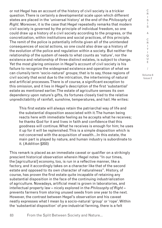or not Hegel has an account of the history of civil society is a trickier question. There is certainly a developmental scale upon which different states are placed in the 'universal history' at the end of the *Philosophy of Right*. Moreover, it is the case that Hegel repeatedly remarks that modern civil society is governed by the principle of individual freedom, so one could draw up a history of a civil society according to the progress, or the concretization, within institutions and social practices, of this principle. The remit of the police is potentially infinite given all of the unintended consequences of social actions, so one could also draw up a history of the evolution of the police and regulation within a society. But neither the relationship of the system of needs to what counts as 'nature', nor the existence and relationship of three distinct estates, is subject to change. Yet the most glaring omission in Hegel's account of civil society is his failure to recognize the widespread existence and operation of what we can clumsily term 'socio-natural' groups; that is to say, those regions of civil society that exist due to the intrication, the intertwining of natural and artificial processes. There is of course, a significant exception to this omission, and it lies in Hegel's description of the first 'substantial' estate as mentioned earlier. The estate of agriculture senses its own dependency upon nature's gifts, its fortunes closely tied to the relative unpredictability of rainfall, sunshine, temperatures, and hail. He writes:

This first estate will always retain the patriarchal way of life and the substantial disposition associated with it. The human being reacts here with immediate feeling as he accepts what he receives; he thanks God for it and lives in faith and confidence that this goodness will continue. What he receives is enough for him; he uses it up for it will be replenished. This is a simple disposition which is not concerned with the acquisition of wealth…In this estate, the main part is played by nature, and human industry is subordinate to it. (Addition §203)

This remark is placed as an immediate caveat or qualifier on a strikingly prescient historical observation wherein Hegel notes "In our times, the [agricultural] economy, too, is run in a reflective manner, like a factory, and it accordingly takes on a character like that of the second estate and opposed to its own character of naturalness". History, of course, has proven the first estate quite incapable of retaining any substantial disposition in the face of the continuing industrialization of agriculture. Nowadays, artificial meat is grown in laboratories, and intellectual property law – nicely explored in the *Philosophy of Right* – prevents farmers from storing unused seeds from one year to the next. However, the contrast between Hegel's observation and his caveat neatly expresses what I mean by a socio-natural 'group' or 'rope'. Within the 'substantial disposition' of pre-industrial farming, there is a felt

R  $\mathbf{I}$ S I S & C R I T  $\mathbf{I}$ Q U E / Volume 8 Issue 2

C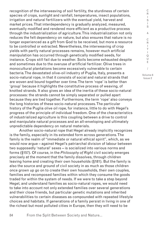recognition of the interweaving of soil fertility, the sturdiness of certain species of crops, sunlight and rainfall, temperatures, insect populations, irrigation and natural fertilizers with the eventual yield, harvest and market prices. That interdependency is gradually analyzed, measured, eventually modified and rendered more efficient as a productive process through the industrialization of agriculture. This industrialization not only reduces the felt dependency on nature, but also ensures that nature is no longer experienced as a gift from God to be received, but more a resource to be controlled or extracted. Nevertheless, the interweaving of crop yields with partly natural processes remains, however much artificial manipulation has occurred through genetically modified seeds, for instance. Crops still fail due to weather. Soils become exhausted despite and sometimes due to the overuse of artificial fertilizer. Olive trees in monocultural plantations become excessively vulnerable to certain bacteria. The devastated olive-oil industry of Puglia, Italy, presents a socio-natural rope, in that it consists of social and natural strands that are woven and bound together over time. The term 'rope' is better than 'group' because it highlights the constitutive process of weaving, of knotted strands. It also gives an idea of the inertia of these socio-natural processes: the strands cannot be simply separated or pulled apart because they are tied together. Furthermore, the term 'rope' also conveys the long histories of these socio-natural processes. The particular history of the Puglia olive oil rope, for instance, little to do with Hegel's progress of the principle of individual freedom. One of the characteristics of industrialized agriculture is this coupling between a drive to control and manipulate natural processes and an all-enveloping and ultimately unpredictable dependency on natural materials.

Another socio-natural rope that Hegel already implicitly recognizes is the family, especially in its extended form across generations. The family is the realm of "immediate or natural ethical spirit", which, as we would now argue – against Hegel's patriarchal division of labour between two supposedly 'natural' sexes – is socialized into various norms and forms (§157). Of course, in the *Philosophy of Right* civil society emerges precisely at the moment that the family dissolves, through children leaving home and creating their own households (§181). But the family is also the source and ground of civil society in as much as those children once grown up go on to create their own households, their own couples, families and recomposed families within which they consume the goods traded for within the system of needs. If we were to take a step beyond Hegel, and understand families as socio-natural ropes, we would need to take into account not only extended families over several generations and their close friends, but particular genetic mutations and inherited vulnerabilities to certain diseases as compounded with repeated lifestyle choices and habitats. If generations of a family persist in living in one of the richest but most polluted cities in Europe, then they will need to be

I S & C R I T I Q U E / Volume 8

C R I S

Issue 2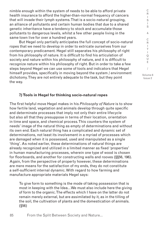nimble enough within the system of needs to be able to afford private health insurance to afford the higher-than-normal frequency of cancers that will invade their lymph systems. That is a socio-natural grouping, an alliance of pollutants and certain human bodies that due to a shared genetic inheritance have a tendency to stock and accumulate those pollutants to dangerous levels, whilst a few other people living in the same town live for over a hundred years.

But Hegel only partially anticipates the full concept of socio-natural ropes that we need to develop in order to extricate ourselves from our contemporary predicament. Hegel still separates his philosophy of right from his philosophy of nature. It is difficult to find his articulation of society and nature within his philosophy of nature, and it is difficult to recognize nature within his philosophy of right. But in order to take a few steps beyond Hegel we can use some of tools and indicators that Hegel himself provides, specifically in moving beyond the system / environment dichotomy. They are not entirely adequate to the task, but they point the way.

**7) Tools in Hegel for thinking socio-natural ropes**

The first helpful move Hegel makes in his *Philosophy of Nature* is to show how fertile land, vegetation and animals develop through quite specific and determinate processes that imply not only their entire lifecycle but also all that they presuppose in terms of their location, orientation in time and space, and chemical process. This counters the system of needs' image of the natural thing as empty of determinations and without its own end. Each natural thing has a complicated and dynamic set of determinations, not least its involvement in a myriad of processes which are damaged when it is possessed, used and manipulated as a single 'thing'. As noted earlier, these determinations of natural things are already recognized and utilized in a limited manner as fixed 'properties' in human manufacturing processes, wherein one type of wood is chosen for floorboards, and another for constructing walls and rooves (§§56, 196). Again, from the perspective of property however, these determinations are mere means for the satisfaction of my ends, they do not constitute a self-sufficient internal dynamic. With regard to how farming and manufacture appropriate materials Hegel says:

To give form to something is the mode of taking possession that is most in keeping with the Idea…We must also include here the giving of form to the organic. The effects which I have on the latter do not remain merely external, but are assimilated by it, as in the tilling of the soil, the cultivation of plants and the domestication of animals. (§56)

85 From the Split Between Society and Nature...

R I T  $\mathbf{I}$ Q U E / Volume 8

C R I S I S & C

Issue 2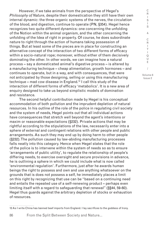However, if we take animals from the perspective of Hegel's *Philosophy of Nature*, despite their domestication they still have their own internal dynamic: the three organic systems of the nerves, the circulation of the blood, and digestion, continue to operate (PN, §354). Hegel hence recognizes two quite different dynamics: one concerning the unfolding of the Notion within the animal organism, and the other concerning the unfolding of the Idea of right in property. Of course, he does subordinate nature to right through the action of humans taking possession of things. But at least some of the pieces are in place for constructing an alternative concept of the interaction of two different forms of efficacy within a socio-natural rope; moreover, without either of them decisively dominating the other. In other words, we can imagine how a natural process – say a domesticated animal's digestive process – is altered by a manufacturing technique – cheap alimentation, growth hormones – and continues to operate, but in a way, and with consequences, that were not anticipated by those designing, selling or using this manufacturing technique – mad cow disease in England.12 I call this study of the interaction of different forms of efficacy 'metabolics'. It is a new area of enquiry designed to take us beyond simplistic models of domination and resistance.

The second helpful contribution made by Hegel is his conceptual accommodation of both pollution and the imprudent depletion of natural resources. In his outline of the role of the police in regulating civil society and the system of needs, Hegel points out that all individual actions have consequences that stretch well beyond the agent's intentions or maxim or reasonable expectations (§232). Private actions that may be rightful according to the stipulations of the law, necessarily enter into a sphere of external and contingent relations with other people and public arrangements. As such they may end up by doing harm to other people (§232). The pollution caused by law-abiding manufacturing processes falls neatly into this category. Hence when Hegel states that the role of the police is to intervene within the system of needs so as to ensure 'arrangements of public utility', to regulate the relationship of people's differing needs, to exercise oversight and secure provisions in advance, he is outlining a sphere in which we could include what is now called 'environmental regulation'. Furthermore, just after he awards human beings the right to possess and own and use anything whatsoever on the grounds that is does not possess a self, he immediately places a limit on this right by recognizing that use can be "based on a continuing need and entails the repeated use of a self-renewing product – perhaps even limiting itself with a regard to safeguarding that renewal" (§§44, 59-60). Hegel thus guards against the arbitrary depletion of stocks or exhaustion of resources.

C R  $\mathbf{I}$ 

<sup>12</sup> As I write China has banned beef imports from England. I lay sacrifices to the goddess of Irony.

S I S & C R I T  $\mathbf{I}$ Q U E / Volume 8 Issue 2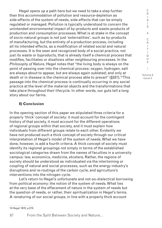Hegel opens up a path here but we need to take a step further than this accommodation of pollution and resource-depletion as side-effects of the system of needs, side-effects that can be simply regulated or managed. Pollution is typically understood to concern the unintended environmental impact of by-products and waste-products of production and consumption processes. What is at stake in the concept of socio-natural groups is not just 'externalities', such as by-products of manufacturing, but the entirety of a production process, including all its intended effects, as a modification of related social and natural processes. It is the seen and recognized body of a social practice, not just its waste or byproducts, that is already itself a chemical process that modifies, facilitates or disallows other neighbouring processes. In the *Philosophy of Nature*, Hegel notes that "the living body is always on the point of passing over into the chemical process: oxygen, hydrogen, salt are always about to appear, but are always again sublated; and only at death or in disease is the chemical process able to prevail" (§337).13 This passage into the chemical process is continually occurring in any social practice at the level of the material objects and the transformations that take place throughout their lifecycle. In other words, our guts tell a long story about our farms.

#### **8) Conclusion**

In the opening section of this paper we stipulated three criteria for a properly 'thick' concept of society: it must account for the contingent history of that society, it must account for the different operations of regional groups within that society, and it must explain how individuals from different groups relate to each other. Evidently we have not produced such a thick concept of society through our critical interpretation of Hegel's model of the system of needs. What we have done, however, is add a fourth criteria. A thick concept of society must identify its regional groupings not simply in terms of the established sociological categories drawn from the names of faculties in a university campus: law, economics, medicine, etcetera. Rather, the regions of society should be understood as individuated via the intertwining or coupling of natural and social processes, such as the energy industry's disruptions and re-routings of the carbon cycle, and agriculture's interventions into the nitrogen cycle.

Let's return to Hegel's unfortunate and not-so-dialectical borrowing from political economy: the notion of the system of needs. What lies at the very base of the effacement of nature in the system of needs but the question of needs, or rather, their spiritualization in Hegel's terms. A renaturing of our social groups, in line with a properly thick account

13 Hegel 1970, p.273.

I S I S & C R I T  $\mathbf{I}$ Q U E / Volume 8 Issue 2

C R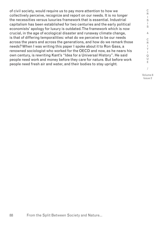of civil society, would require us to pay more attention to how we collectively perceive, recognize and report on our needs. It is no longer the necessities versus luxuries framework that is essential. Industrial capitalism has been established for two centuries and the early political economists' apology for luxury is outdated. The framework which is now crucial, in the age of ecological disaster and runaway climate change, is that of differing temporalities: what do we perceive to be our needs across the years and across the generations, and how do we remark those needs? When I was writing this paper I spoke about it to Ron Gass, a renowned sociologist who worked for the OECD and now, as he nears his own century, is rewriting Kant's "Idea for a Universal History". He said people need work and money before they care for nature. But before work people need fresh air and water, and their bodies to stay upright.

T  $\mathbf{I}$ Q U E / Volume 8

C R I S I S & C R I

Issue 2